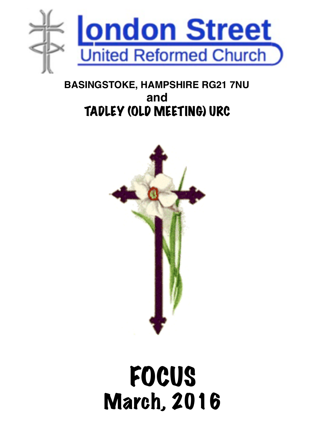

### **BASINGSTOKE, HAMPSHIRE RG21 7NU and** TADLEY (OLD MEETING) URC



# FOCUS March, 2016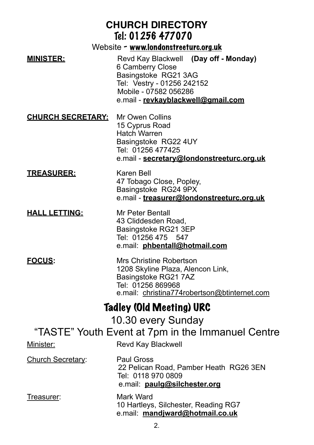|                          | <b>CHURCH DIRECTORY</b><br>Tel: 01256 477070                                                                                                                                   |
|--------------------------|--------------------------------------------------------------------------------------------------------------------------------------------------------------------------------|
|                          | Website - www.londonstreeturc.org.uk                                                                                                                                           |
| <b>MINISTER:</b>         | Revd Kay Blackwell (Day off - Monday)<br>6 Camberry Close<br>Basingstoke RG21 3AG<br>Tel: Vestry - 01256 242152<br>Mobile - 07582 056286<br>e.mail - revkayblackwell@gmail.com |
| <u>CHURCH SECRETARY:</u> | Mr Owen Collins<br>15 Cyprus Road<br><b>Hatch Warren</b><br>Basingstoke RG22 4UY<br>Tel: 01256 477425<br>e.mail - secretary@londonstreeturc.org.uk                             |
| <u>TREASURER:</u>        | Karen Bell<br>47 Tobago Close, Popley,<br>Basingstoke RG24 9PX<br>e.mail - treasurer@londonstreeturc.org.uk                                                                    |
| <u>HALL LETTING:</u>     | Mr Peter Bentall<br>43 Cliddesden Road,<br>Basingstoke RG21 3EP<br>Tel: 01256 475 547<br>e.mail: phbentall@hotmail.com                                                         |
| <u>FOCUS:</u>            | Mrs Christine Robertson<br>1208 Skyline Plaza, Alencon Link,<br>Basingstoke RG21 7AZ<br>Tel: 01256 869968<br>e.mail: christina774robertson@btinternet.com                      |
|                          | <b>Tadley (Old Meeting) URC</b>                                                                                                                                                |
|                          | 10.30 every Sunday                                                                                                                                                             |
|                          | "TASTE" Youth Event at 7pm in the Immanuel Centre                                                                                                                              |
| Minister:                | Revd Kay Blackwell                                                                                                                                                             |
| Church Secretary:        | Paul Gross<br>22 Pelican Road, Pamber Heath RG26 3EN<br>Tel: 0118 970 0809<br>e.mail: paulq@silchester.org                                                                     |
| Treasurer:               | Mark Ward<br>10 Hartleys, Silchester, Reading RG7<br>e.mail: mandjward@hotmail.co.uk                                                                                           |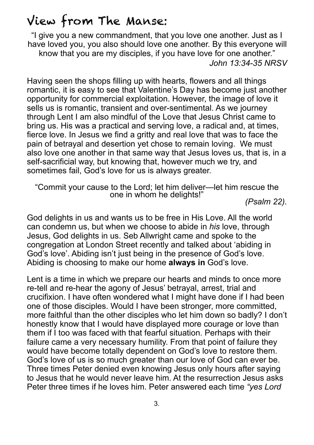### View from The Manse:

"I give you a new commandment, that you love one another. Just as I have loved you, you also should love one another. By this everyone will know that you are my disciples, if you have love for one another." *[John 13:34-35](https://www.biblegateway.com/passage/?version=NRSV&search=John%252013:34-35) [NRSV](https://www.biblegateway.com/versions/index.php?action=getVersionInfo&vid=210)*

Having seen the shops filling up with hearts, flowers and all things romantic, it is easy to see that Valentine's Day has become just another opportunity for commercial exploitation. However, the image of love it sells us is romantic, transient and over-sentimental. As we journey through Lent I am also mindful of the Love that Jesus Christ came to bring us. His was a practical and serving love, a radical and, at times, fierce love. In Jesus we find a gritty and real love that was to face the pain of betrayal and desertion yet chose to remain loving. We must also love one another in that same way that Jesus loves us, that is, in a self-sacrificial way, but knowing that, however much we try, and sometimes fail, God's love for us is always greater.

"Commit your cause to the Lord; let him deliver—let him rescue the one in whom he delights!" *(Psalm 22).* 

God delights in us and wants us to be free in His Love. All the world can condemn us, but when we choose to abide in *his* love, through Jesus, God delights in us. Seb Allwright came and spoke to the congregation at London Street recently and talked about 'abiding in God's love'. Abiding isn't just being in the presence of God's love. Abiding is choosing to make our home **always in** God's love.

Lent is a time in which we prepare our hearts and minds to once more re-tell and re-hear the agony of Jesus' betrayal, arrest, trial and crucifixion. I have often wondered what I might have done if I had been one of those disciples. Would I have been stronger, more committed, more faithful than the other disciples who let him down so badly? I don't honestly know that I would have displayed more courage or love than them if I too was faced with that fearful situation. Perhaps with their failure came a very necessary humility. From that point of failure they would have become totally dependent on God's love to restore them. God's love of us is so much greater than our love of God can ever be. Three times Peter denied even knowing Jesus only hours after saying to Jesus that he would never leave him. At the resurrection Jesus asks Peter three times if he loves him. Peter answered each time *"yes Lord*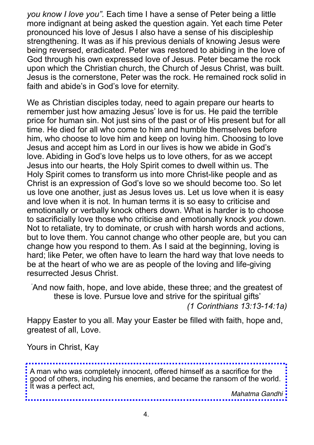*you know I love you".* Each time I have a sense of Peter being a little more indignant at being asked the question again. Yet each time Peter pronounced his love of Jesus I also have a sense of his discipleship strengthening. It was as if his previous denials of knowing Jesus were being reversed, eradicated. Peter was restored to abiding in the love of God through his own expressed love of Jesus. Peter became the rock upon which the Christian church, the Church of Jesus Christ, was built. Jesus is the cornerstone, Peter was the rock. He remained rock solid in faith and abide's in God's love for eternity.

We as Christian disciples today, need to again prepare our hearts to remember just how amazing Jesus' love is for us. He paid the terrible price for human sin. Not just sins of the past or of His present but for all time. He died for all who come to him and humble themselves before him, who choose to love him and keep on loving him. Choosing to love Jesus and accept him as Lord in our lives is how we abide in God's love. Abiding in God's love helps us to love others, for as we accept Jesus into our hearts, the Holy Spirit comes to dwell within us. The Holy Spirit comes to transform us into more Christ-like people and as Christ is an expression of God's love so we should become too. So let us love one another, just as Jesus loves us. Let us love when it is easy and love when it is not. In human terms it is so easy to criticise and emotionally or verbally knock others down. What is harder is to choose to sacrificially love those who criticise and emotionally knock *you* down. Not to retaliate, try to dominate, or crush with harsh words and actions, but to love them. You cannot change who other people are, but you can change how you respond to them. As I said at the beginning, loving is hard; like Peter, we often have to learn the hard way that love needs to be at the heart of who we are as people of the loving and life-giving resurrected Jesus Christ.

' And now faith, hope, and love abide, these three; and the greatest of these is love. Pursue love and strive for the spiritual gifts' *(1 Corinthians 13:13-14:1a)* 

Happy Easter to you all. May your Easter be filled with faith, hope and, greatest of all, Love.

Yours in Christ, Kay

A man who was completely innocent, offered himself as a sacrifice for the good of others, including his enemies, and became the ransom of the world. It was a perfect act,

*Mahatma Gandhi*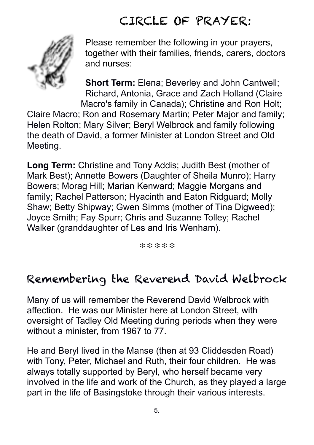### CIRCLE OF PRAYER:



Please remember the following in your prayers, together with their families, friends, carers, doctors and nurses:

**Short Term:** Elena; Beverley and John Cantwell; Richard, Antonia, Grace and Zach Holland (Claire Macro's family in Canada); Christine and Ron Holt;

Claire Macro; Ron and Rosemary Martin; Peter Major and family; Helen Rolton; Mary Silver; Beryl Welbrock and family following the death of David, a former Minister at London Street and Old Meeting.

**Long Term:** Christine and Tony Addis; Judith Best (mother of Mark Best); Annette Bowers (Daughter of Sheila Munro); Harry Bowers; Morag Hill; Marian Kenward; Maggie Morgans and family; Rachel Patterson; Hyacinth and Eaton Ridguard; Molly Shaw; Betty Shipway; Gwen Simms (mother of Tina Digweed); Joyce Smith; Fay Spurr; Chris and Suzanne Tolley; Rachel Walker (granddaughter of Les and Iris Wenham).

❉ ❉ ❉ ❉ ❉

#### Remembering the Reverend David Welbrock

Many of us will remember the Reverend David Welbrock with affection. He was our Minister here at London Street, with oversight of Tadley Old Meeting during periods when they were without a minister, from 1967 to 77.

He and Beryl lived in the Manse (then at 93 Cliddesden Road) with Tony, Peter, Michael and Ruth, their four children. He was always totally supported by Beryl, who herself became very involved in the life and work of the Church, as they played a large part in the life of Basingstoke through their various interests.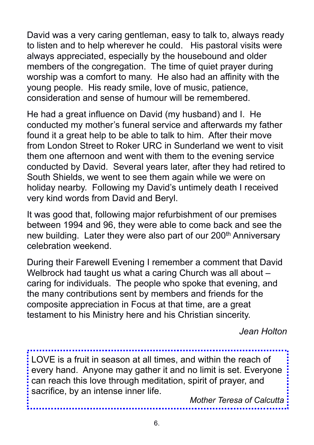David was a very caring gentleman, easy to talk to, always ready to listen and to help wherever he could. His pastoral visits were always appreciated, especially by the housebound and older members of the congregation. The time of quiet prayer during worship was a comfort to many. He also had an affinity with the young people. His ready smile, love of music, patience, consideration and sense of humour will be remembered.

He had a great influence on David (my husband) and I. He conducted my mother's funeral service and afterwards my father found it a great help to be able to talk to him. After their move from London Street to Roker URC in Sunderland we went to visit them one afternoon and went with them to the evening service conducted by David. Several years later, after they had retired to South Shields, we went to see them again while we were on holiday nearby. Following my David's untimely death I received very kind words from David and Beryl.

It was good that, following major refurbishment of our premises between 1994 and 96, they were able to come back and see the new building. Later they were also part of our 200<sup>th</sup> Anniversary celebration weekend.

During their Farewell Evening I remember a comment that David Welbrock had taught us what a caring Church was all about – caring for individuals. The people who spoke that evening, and the many contributions sent by members and friends for the composite appreciation in Focus at that time, are a great testament to his Ministry here and his Christian sincerity.

*Jean Holton* 

LOVE is a fruit in season at all times, and within the reach of every hand. Anyone may gather it and no limit is set. Everyone can reach this love through meditation, spirit of prayer, and sacrifice, by an intense inner life.

*Mother Teresa of Calcutta*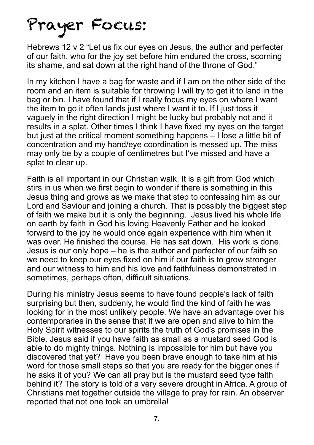## Prayer Focus:

Hebrews 12 v 2 "Let us fix our eyes on Jesus, the author and perfecter of our faith, who for the joy set before him endured the cross, scorning its shame, and sat down at the right hand of the throne of God."

In my kitchen I have a bag for waste and if I am on the other side of the room and an item is suitable for throwing I will try to get it to land in the bag or bin. I have found that if I really focus my eves on where I want the item to go it often lands just where I want it to. If I just toss it vaguely in the right direction I might be lucky but probably not and it results in a splat. Other times I think I have fixed my eyes on the target but just at the critical moment something happens – I lose a little bit of concentration and my hand/eye coordination is messed up. The miss may only be by a couple of centimetres but I've missed and have a splat to clear up.

Faith is all important in our Christian walk. It is a gift from God which stirs in us when we first begin to wonder if there is something in this Jesus thing and grows as we make that step to confessing him as our Lord and Saviour and joining a church. That is possibly the biggest step of faith we make but it is only the beginning. Jesus lived his whole life on earth by faith in God his loving Heavenly Father and he looked forward to the joy he would once again experience with him when it was over. He finished the course. He has sat down. His work is done. Jesus is our only hope – he is the author and perfecter of our faith so we need to keep our eyes fixed on him if our faith is to grow stronger and our witness to him and his love and faithfulness demonstrated in sometimes, perhaps often, difficult situations.

During his ministry Jesus seems to have found people's lack of faith surprising but then, suddenly, he would find the kind of faith he was looking for in the most unlikely people. We have an advantage over his contemporaries in the sense that if we are open and alive to him the Holy Spirit witnesses to our spirits the truth of God's promises in the Bible. Jesus said if you have faith as small as a mustard seed God is able to do mighty things. Nothing is impossible for him but have you discovered that yet? Have you been brave enough to take him at his word for those small steps so that you are ready for the bigger ones if he asks it of you? We can all pray but is the mustard seed type faith behind it? The story is told of a very severe drought in Africa. A group of Christians met together outside the village to pray for rain. An observer reported that not one took an umbrella!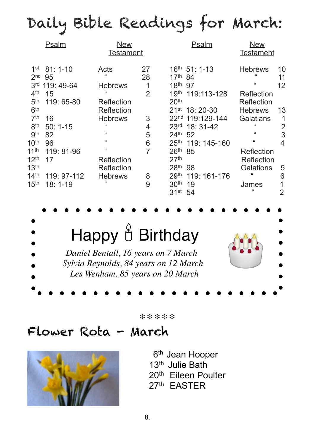## Daily Bible Readings for March:

|                                                                          | <b>Psalm</b>                              | <b>New</b><br><b>Testament</b>                                             |                    | <b>Psalm</b>                                                                                          | <b>New</b><br><b>Testament</b>                     |                               |
|--------------------------------------------------------------------------|-------------------------------------------|----------------------------------------------------------------------------|--------------------|-------------------------------------------------------------------------------------------------------|----------------------------------------------------|-------------------------------|
| 1st<br>2 <sub>nd</sub><br>4 <sup>th</sup>                                | $81:1 - 10$<br>95<br>3rd 119: 49-64<br>15 | Acts<br>$\mathfrak{c}$<br><b>Hebrews</b><br>$\mathfrak{c}$                 | 27<br>28<br>1<br>2 | $16th$ 51: 1-13<br>17 <sup>th</sup> 84<br>$18^{th}$ 97<br>19 <sup>th</sup><br>119:113-128             | <b>Hebrews</b><br>66<br>66<br>Reflection           | 10<br>11<br>$12 \overline{ }$ |
| 5 <sup>th</sup><br>6 <sup>th</sup><br>7 <sup>th</sup><br>8 <sup>th</sup> | 119: 65-80<br>16<br>$50:1 - 15$           | Reflection<br>Reflection<br><b>Hebrews</b><br>$\mathfrak{c}$               | 3<br>4             | 20 <sup>th</sup><br>$21st$ 18: 20-30<br>22 <sup>nd</sup> 119:129-144<br>23 <sup>rd</sup><br>18: 31-42 | Reflection<br><b>Hebrews</b><br>Galatians<br>"     | 13<br>1<br>2                  |
| gth<br>10 <sup>th</sup><br>11 <sup>th</sup>                              | 82<br>96<br>119: 81-96                    | $\mathfrak{c}\mathfrak{c}$<br>$\mathfrak{c}$<br>$\mathfrak{c}\mathfrak{c}$ | 5<br>6<br>7        | $24^{th}$ 52<br>25 <sup>th</sup><br>119: 145-160<br>26 <sup>th</sup><br>85                            | $\epsilon\epsilon$<br>$\mathfrak{c}$<br>Reflection | 3<br>4                        |
| 12 <sup>th</sup><br>13 <sup>th</sup><br>14 <sup>th</sup>                 | 17<br>119: 97-112                         | Reflection<br>Reflection<br><b>Hebrews</b>                                 | 8                  | 27 <sup>th</sup><br>28 <sup>th</sup><br>98<br>29 <sup>th</sup><br>119: 161-176                        | Reflection<br>Galations<br>66                      | 5<br>6                        |
| 15 <sup>th</sup>                                                         | $18:1 - 19$                               | "                                                                          | 9                  | 30 <sup>th</sup><br>19<br>31 <sup>st</sup><br>54                                                      | James<br>$\epsilon$                                | 2                             |



❉ ❉ ❉ ❉ ❉

### Flower Rota - March



 6th Jean Hooper 13th Julie Bath 20th Eileen Poulter 27th EASTER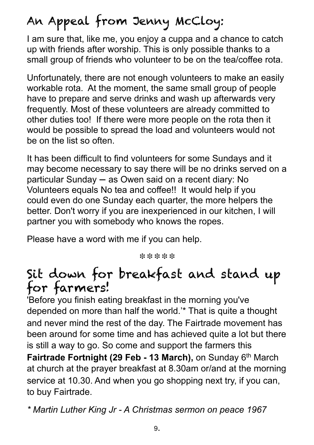### An Appeal from Jenny McCloy:

I am sure that, like me, you enjoy a cuppa and a chance to catch up with friends after worship. This is only possible thanks to a small group of friends who volunteer to be on the tea/coffee rota.

Unfortunately, there are not enough volunteers to make an easily workable rota. At the moment, the same small group of people have to prepare and serve drinks and wash up afterwards very frequently. Most of these volunteers are already committed to other duties too! If there were more people on the rota then it would be possible to spread the load and volunteers would not be on the list so often.

It has been difficult to find volunteers for some Sundays and it may become necessary to say there will be no drinks served on a particular Sunday *—* as Owen said on a recent diary: No Volunteers equals No tea and coffee!! It would help if you could even do one Sunday each quarter, the more helpers the better. Don't worry if you are inexperienced in our kitchen, I will partner you with somebody who knows the ropes.

 $\overline{a}$ Please have a word with me if you can help.

❉ ❉ ❉ ❉ ❉

### Sit down for breakfast and stand up for farmers!

'Before you finish eating breakfast in the morning you've depended on more than half the world.'\* That is quite a thought and never mind the rest of the day. The Fairtrade movement has been around for some time and has achieved quite a lot but there is still a way to go. So come and support the farmers this **Fairtrade Fortnight (29 Feb - 13 March), on Sunday 6th March** at church at the prayer breakfast at 8.30am or/and at the morning service at 10.30. And when you go shopping next try, if you can, to buy Fairtrade.

*\* Martin Luther King Jr - A Christmas sermon on peace 1967*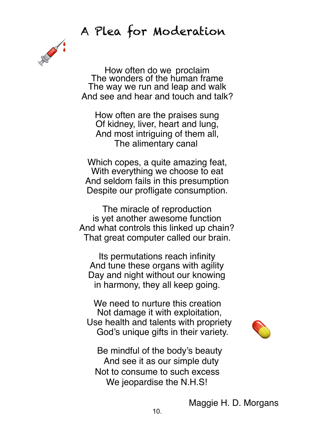### A Plea for Moderation



How often do we proclaim The wonders of the human frame The way we run and leap and walk And see and hear and touch and talk?

How often are the praises sung Of kidney, liver, heart and lung, And most intriguing of them all, The alimentary canal

Which copes, a quite amazing feat, With everything we choose to eat And seldom fails in this presumption Despite our profligate consumption.

The miracle of reproduction is yet another awesome function And what controls this linked up chain? That great computer called our brain.

Its permutations reach infinity And tune these organs with agility Day and night without our knowing in harmony, they all keep going.

We need to nurture this creation Not damage it with exploitation, Use health and talents with propriety God's unique gifts in their variety.



 Be mindful of the body's beauty And see it as our simple duty Not to consume to such excess We jeopardise the N.H.S!

Maggie H. D. Morgans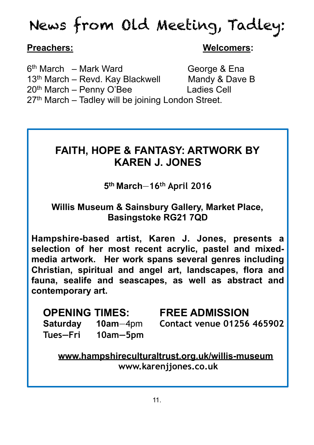### News from Old Meeting, Tadley:

#### **Preachers: Welcomers:**

6<sup>th</sup> March – Mark Ward George & Ena  $13<sup>th</sup>$  March – Revd. Kay Blackwell Mandy & Dave B 20th March – Penny O'Bee Ladies Cell  $27<sup>th</sup>$  March – Tadley will be joining London Street.

#### **FAITH, HOPE & FANTASY: ARTWORK BY KAREN J. JONES**

**5th March**—**16th April 2016** 

#### **Willis Museum & Sainsbury Gallery, Market Place, Basingstoke RG21 7QD**

**Hampshire-based artist, Karen J. Jones, presents a selection of her most recent acrylic, pastel and mixedmedia artwork. Her work spans several genres including Christian, spiritual and angel art, landscapes, flora and fauna, sealife and seascapes, as well as abstract and contemporary art.** 

**OPENING TIMES: FREE ADMISSION** 

 **Tues—Fri 10am—5pm** 

 **Saturday 10am**—4pm **Contact venue 01256 465902**

 **[www.hampshireculturaltrust.org.uk/willis-museum](http://www.hampshireculturaltrust.org.uk/willis-museum) www.karenjjones.co.uk**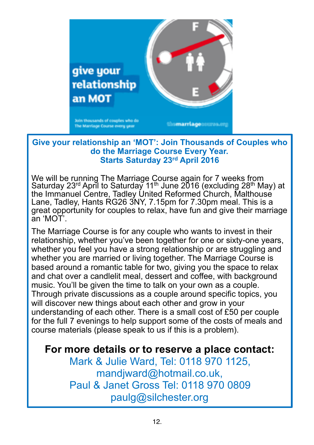

#### **Give your relationship an 'MOT': Join Thousands of Couples who do the Marriage Course Every Year. Starts Saturday 23rd April 2016**

We will be running The Marriage Course again for 7 weeks from Saturday 23<sup>rd</sup> April to Saturday 11<sup>th</sup> June 2016 (excluding 28<sup>th</sup> May) at the Immanuel Centre, Tadley United Reformed Church, Malthouse Lane, Tadley, Hants RG26 3NY, 7.15pm for 7.30pm meal. This is a great opportunity for couples to relax, have fun and give their marriage an 'MOT'.

The Marriage Course is for any couple who wants to invest in their relationship, whether you've been together for one or sixty-one years, whether you feel you have a strong relationship or are struggling and whether you are married or living together. The Marriage Course is based around a romantic table for two, giving you the space to relax and chat over a candlelit meal, dessert and coffee, with background music. You'll be given the time to talk on your own as a couple. Through private discussions as a couple around specific topics, you will discover new things about each other and grow in your understanding of each other. There is a small cost of £50 per couple for the full 7 evenings to help support some of the costs of meals and course materials (please speak to us if this is a problem).

#### **For more details or to reserve a place contact:**

Mark & Julie Ward, Tel: 0118 970 1125, mandjward@hotmail.co.uk, Paul & Janet Gross Tel: 0118 970 0809 paulg@silchester.org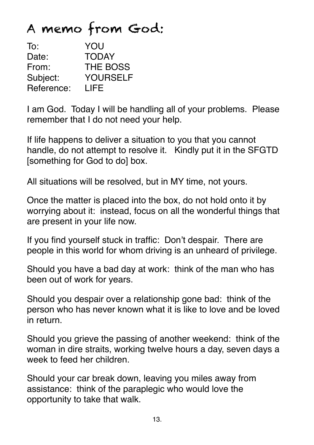### A memo from God:

To: YOU Date: TODAY From: THE BOSS Subject: YOURSELF Reference: LIFE

I am God. Today I will be handling all of your problems. Please remember that I do not need your help.

If life happens to deliver a situation to you that you cannot handle, do not attempt to resolve it. Kindly put it in the SFGTD [something for God to do] box.

All situations will be resolved, but in MY time, not yours.

Once the matter is placed into the box, do not hold onto it by worrying about it: instead, focus on all the wonderful things that are present in your life now.

If you find yourself stuck in traffic: Don't despair. There are people in this world for whom driving is an unheard of privilege.

Should you have a bad day at work: think of the man who has been out of work for years.

Should you despair over a relationship gone bad: think of the person who has never known what it is like to love and be loved in return.

Should you grieve the passing of another weekend: think of the woman in dire straits, working twelve hours a day, seven days a week to feed her children.

Should your car break down, leaving you miles away from assistance: think of the paraplegic who would love the opportunity to take that walk.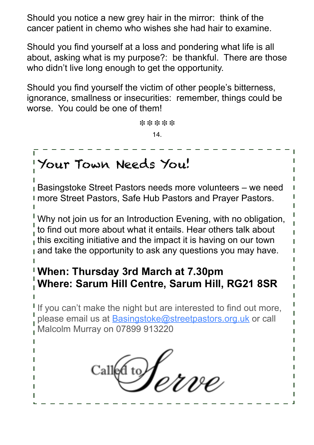Should you notice a new grey hair in the mirror: think of the cancer patient in chemo who wishes she had hair to examine.

Should you find yourself at a loss and pondering what life is all about, asking what is my purpose?: be thankful. There are those who didn't live long enough to get the opportunity.

Should you find yourself the victim of other people's bitterness, ignorance, smallness or insecurities: remember, things could be worse. You could be one of them!

> ❉ ❉ ❉ ❉ ❉ 14.

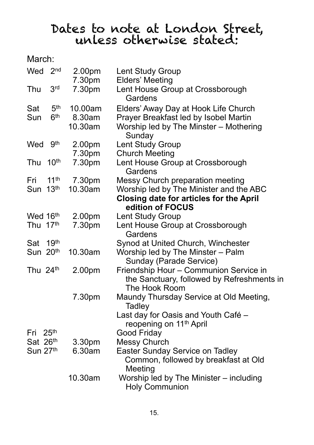# Dates to note at London Street, unless otherwise stated:

#### March:

| <u>ivial ULL</u>     |                  |                   |                                                                                                       |
|----------------------|------------------|-------------------|-------------------------------------------------------------------------------------------------------|
| Wed                  | 2 <sub>nd</sub>  | 2.00pm            | <b>Lent Study Group</b>                                                                               |
|                      |                  | 7.30pm            | Elders' Meeting                                                                                       |
| Thu                  | 3 <sup>rd</sup>  | 7.30pm            | Lent House Group at Crossborough<br>Gardens                                                           |
| Sat                  | 5 <sup>th</sup>  | 10.00am           | Elders' Away Day at Hook Life Church                                                                  |
| Sun                  | 6 <sup>th</sup>  | 8.30am<br>10.30am | Prayer Breakfast led by Isobel Martin<br>Worship led by The Minster - Mothering<br>Sunday             |
| Wed                  | <b>9th</b>       | 2.00pm            | Lent Study Group                                                                                      |
|                      |                  | 7.30pm            | <b>Church Meeting</b>                                                                                 |
| Thu                  | 10 <sup>th</sup> | 7.30pm            | Lent House Group at Crossborough<br>Gardens                                                           |
| Fri                  | 11 <sup>th</sup> | 7.30pm            | Messy Church preparation meeting                                                                      |
| Sun 13th             |                  | 10.30am           | Worship led by The Minister and the ABC                                                               |
|                      |                  |                   | <b>Closing date for articles for the April</b><br>edition of FOCUS                                    |
| Wed 16th             |                  | 2.00pm            | <b>Lent Study Group</b>                                                                               |
| Thu 17 <sup>th</sup> |                  | 7.30pm            | Lent House Group at Crossborough<br>Gardens                                                           |
| Sat 19th             |                  |                   | Synod at United Church, Winchester                                                                    |
| Sun 20th             |                  | 10.30am           | Worship led by The Minster - Palm<br>Sunday (Parade Service)                                          |
| Thu 24th             |                  | 2.00pm            | Friendship Hour - Communion Service in<br>the Sanctuary, followed by Refreshments in<br>The Hook Room |
|                      |                  | 7.30pm            | Maundy Thursday Service at Old Meeting,<br>Tadley                                                     |
|                      |                  |                   | Last day for Oasis and Youth Café -<br>reopening on 11 <sup>th</sup> April                            |
| Fri 25th             |                  |                   | Good Friday                                                                                           |
| Sat 26th             |                  | 3.30pm            | <b>Messy Church</b>                                                                                   |
| Sun 27th             |                  | 6.30am            | Easter Sunday Service on Tadley                                                                       |
|                      |                  |                   | Common, followed by breakfast at Old<br>Meeting                                                       |
|                      |                  | 10.30am           | Worship led by The Minister - including<br><b>Holy Communion</b>                                      |